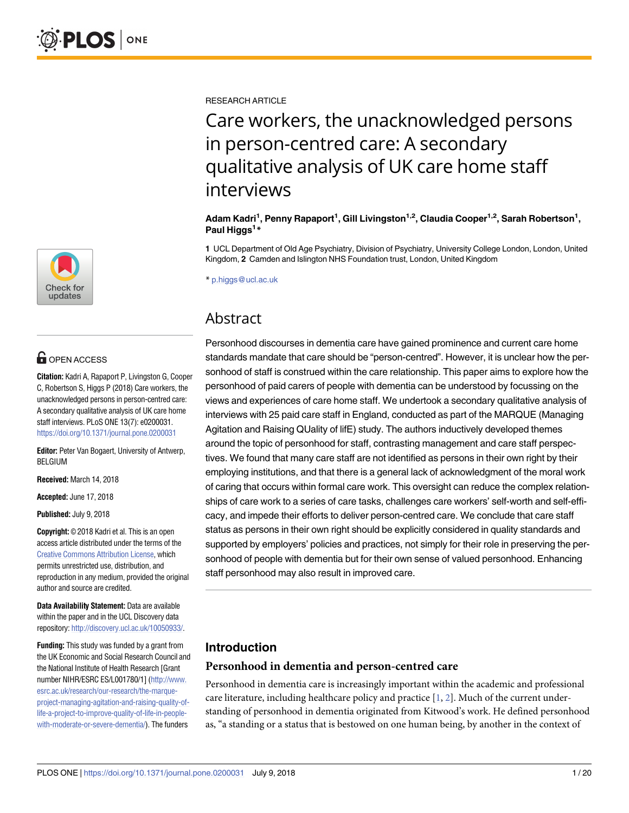

# **OPEN ACCESS**

**Citation:** Kadri A, Rapaport P, Livingston G, Cooper C, Robertson S, Higgs P (2018) Care workers, the unacknowledged persons in person-centred care: A secondary qualitative analysis of UK care home staff interviews. PLoS ONE 13(7): e0200031. <https://doi.org/10.1371/journal.pone.0200031>

**Editor:** Peter Van Bogaert, University of Antwerp, BELGIUM

**Received:** March 14, 2018

**Accepted:** June 17, 2018

**Published:** July 9, 2018

**Copyright:** © 2018 Kadri et al. This is an open access article distributed under the terms of the Creative Commons [Attribution](http://creativecommons.org/licenses/by/4.0/) License, which permits unrestricted use, distribution, and reproduction in any medium, provided the original author and source are credited.

**Data Availability Statement:** Data are available within the paper and in the UCL Discovery data repository: <http://discovery.ucl.ac.uk/10050933/>.

**Funding:** This study was funded by a grant from the UK Economic and Social Research Council and the National Institute of Health Research [Grant number NIHR/ESRC ES/L001780/1] [\(http://www.](http://www.esrc.ac.uk/research/our-research/the-marque-project-managing-agitation-and-raising-quality-of-life-a-project-to-improve-quality-of-life-in-people-with-moderate-or-severe-dementia/) [esrc.ac.uk/research/our-research/the-marque](http://www.esrc.ac.uk/research/our-research/the-marque-project-managing-agitation-and-raising-quality-of-life-a-project-to-improve-quality-of-life-in-people-with-moderate-or-severe-dementia/)[project-managing-agitation-and-raising-quality-of](http://www.esrc.ac.uk/research/our-research/the-marque-project-managing-agitation-and-raising-quality-of-life-a-project-to-improve-quality-of-life-in-people-with-moderate-or-severe-dementia/)[life-a-project-to-improve-quality-of-life-in-people](http://www.esrc.ac.uk/research/our-research/the-marque-project-managing-agitation-and-raising-quality-of-life-a-project-to-improve-quality-of-life-in-people-with-moderate-or-severe-dementia/)[with-moderate-or-severe-dementia/](http://www.esrc.ac.uk/research/our-research/the-marque-project-managing-agitation-and-raising-quality-of-life-a-project-to-improve-quality-of-life-in-people-with-moderate-or-severe-dementia/)). The funders

<span id="page-0-0"></span>RESEARCH ARTICLE

Care workers, the unacknowledged persons in person-centred care: A secondary qualitative analysis of UK care home staff interviews

### **Adam Kadri1 , Penny Rapaport1 , Gill Livingston1,2, Claudia Cooper1,2, Sarah Robertson1 , Paul Higgs1 \***

**1** UCL Department of Old Age Psychiatry, Division of Psychiatry, University College London, London, United Kingdom, **2** Camden and Islington NHS Foundation trust, London, United Kingdom

\* p.higgs@ucl.ac.uk

# Abstract

Personhood discourses in dementia care have gained prominence and current care home standards mandate that care should be "person-centred". However, it is unclear how the personhood of staff is construed within the care relationship. This paper aims to explore how the personhood of paid carers of people with dementia can be understood by focussing on the views and experiences of care home staff. We undertook a secondary qualitative analysis of interviews with 25 paid care staff in England, conducted as part of the MARQUE (Managing Agitation and Raising QUality of lifE) study. The authors inductively developed themes around the topic of personhood for staff, contrasting management and care staff perspectives. We found that many care staff are not identified as persons in their own right by their employing institutions, and that there is a general lack of acknowledgment of the moral work of caring that occurs within formal care work. This oversight can reduce the complex relationships of care work to a series of care tasks, challenges care workers' self-worth and self-efficacy, and impede their efforts to deliver person-centred care. We conclude that care staff status as persons in their own right should be explicitly considered in quality standards and supported by employers' policies and practices, not simply for their role in preserving the personhood of people with dementia but for their own sense of valued personhood. Enhancing staff personhood may also result in improved care.

# **Introduction**

# **Personhood in dementia and person-centred care**

Personhood in dementia care is increasingly important within the academic and professional care literature, including healthcare policy and practice  $[1, 2]$  $[1, 2]$  $[1, 2]$  $[1, 2]$ . Much of the current understanding of personhood in dementia originated from Kitwood's work. He defined personhood as, "a standing or a status that is bestowed on one human being, by another in the context of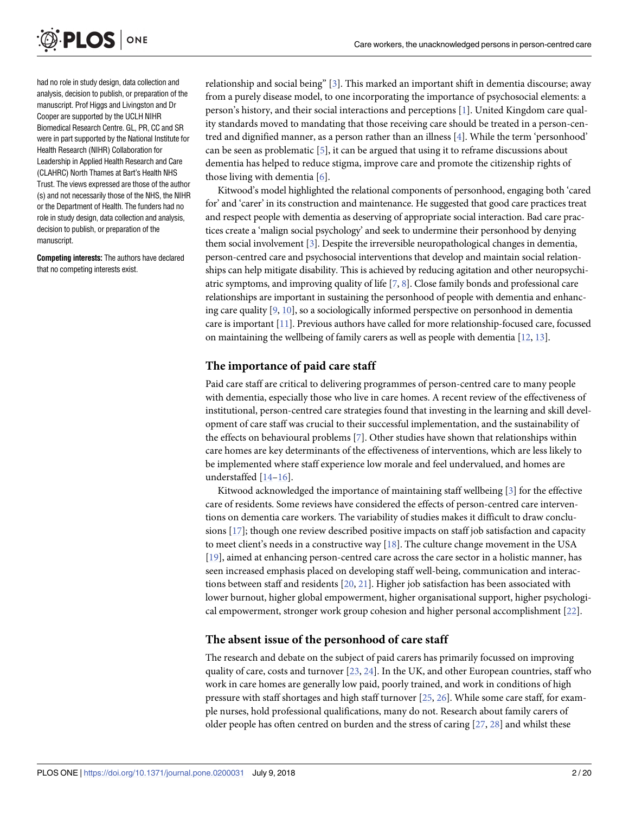<span id="page-1-0"></span>

had no role in study design, data collection and analysis, decision to publish, or preparation of the manuscript. Prof Higgs and Livingston and Dr Cooper are supported by the UCLH NIHR Biomedical Research Centre. GL, PR, CC and SR were in part supported by the National Institute for Health Research (NIHR) Collaboration for Leadership in Applied Health Research and Care (CLAHRC) North Thames at Bart's Health NHS Trust. The views expressed are those of the author (s) and not necessarily those of the NHS, the NIHR or the Department of Health. The funders had no role in study design, data collection and analysis, decision to publish, or preparation of the manuscript.

**Competing interests:** The authors have declared that no competing interests exist.

relationship and social being" [\[3](#page-17-0)]. This marked an important shift in dementia discourse; away from a purely disease model, to one incorporating the importance of psychosocial elements: a person's history, and their social interactions and perceptions [[1](#page-17-0)]. United Kingdom care quality standards moved to mandating that those receiving care should be treated in a person-centred and dignified manner, as a person rather than an illness [[4](#page-17-0)]. While the term 'personhood' can be seen as problematic  $[5]$  $[5]$ , it can be argued that using it to reframe discussions about dementia has helped to reduce stigma, improve care and promote the citizenship rights of those living with dementia [\[6\]](#page-17-0).

Kitwood's model highlighted the relational components of personhood, engaging both 'cared for' and 'carer' in its construction and maintenance. He suggested that good care practices treat and respect people with dementia as deserving of appropriate social interaction. Bad care practices create a 'malign social psychology' and seek to undermine their personhood by denying them social involvement [\[3\]](#page-17-0). Despite the irreversible neuropathological changes in dementia, person-centred care and psychosocial interventions that develop and maintain social relationships can help mitigate disability. This is achieved by reducing agitation and other neuropsychiatric symptoms, and improving quality of life [\[7,](#page-17-0) [8\]](#page-17-0). Close family bonds and professional care relationships are important in sustaining the personhood of people with dementia and enhancing care quality  $[9, 10]$  $[9, 10]$  $[9, 10]$ , so a sociologically informed perspective on personhood in dementia care is important [\[11](#page-17-0)]. Previous authors have called for more relationship-focused care, focussed on maintaining the wellbeing of family carers as well as people with dementia [\[12,](#page-17-0) [13](#page-17-0)].

### **The importance of paid care staff**

Paid care staff are critical to delivering programmes of person-centred care to many people with dementia, especially those who live in care homes. A recent review of the effectiveness of institutional, person-centred care strategies found that investing in the learning and skill development of care staff was crucial to their successful implementation, and the sustainability of the effects on behavioural problems [\[7\]](#page-17-0). Other studies have shown that relationships within care homes are key determinants of the effectiveness of interventions, which are less likely to be implemented where staff experience low morale and feel undervalued, and homes are understaffed [[14–16\]](#page-17-0).

Kitwood acknowledged the importance of maintaining staff wellbeing [\[3\]](#page-17-0) for the effective care of residents. Some reviews have considered the effects of person-centred care interventions on dementia care workers. The variability of studies makes it difficult to draw conclusions [\[17\]](#page-17-0); though one review described positive impacts on staff job satisfaction and capacity to meet client's needs in a constructive way [[18](#page-17-0)]. The culture change movement in the USA [\[19\]](#page-17-0), aimed at enhancing person-centred care across the care sector in a holistic manner, has seen increased emphasis placed on developing staff well-being, communication and interactions between staff and residents [[20](#page-17-0), [21](#page-17-0)]. Higher job satisfaction has been associated with lower burnout, higher global empowerment, higher organisational support, higher psychological empowerment, stronger work group cohesion and higher personal accomplishment [[22](#page-17-0)].

### **The absent issue of the personhood of care staff**

The research and debate on the subject of paid carers has primarily focussed on improving quality of care, costs and turnover  $[23, 24]$  $[23, 24]$  $[23, 24]$ . In the UK, and other European countries, staff who work in care homes are generally low paid, poorly trained, and work in conditions of high pressure with staff shortages and high staff turnover [\[25,](#page-18-0) [26\]](#page-18-0). While some care staff, for example nurses, hold professional qualifications, many do not. Research about family carers of older people has often centred on burden and the stress of caring  $[27, 28]$  $[27, 28]$  $[27, 28]$  $[27, 28]$  $[27, 28]$  and whilst these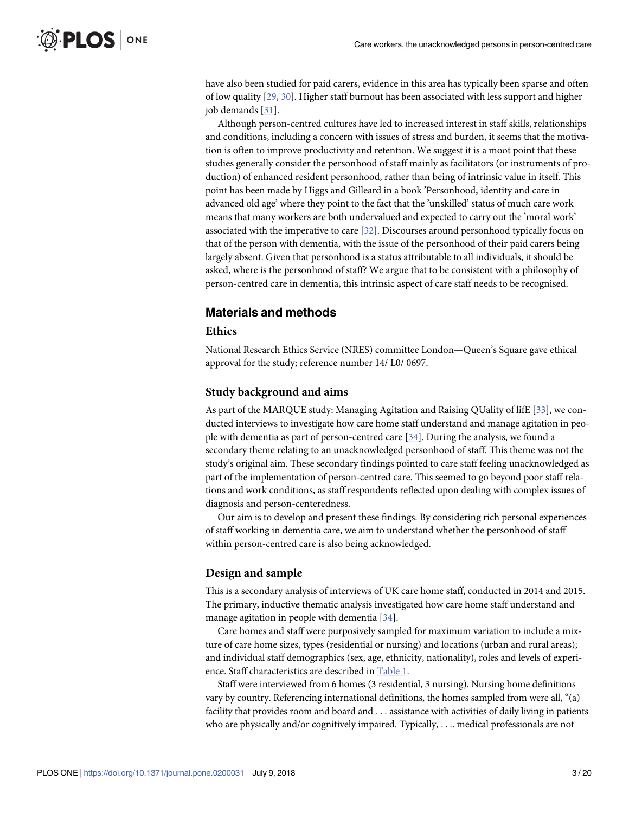<span id="page-2-0"></span>have also been studied for paid carers, evidence in this area has typically been sparse and often of low quality [[29](#page-18-0), [30](#page-18-0)]. Higher staff burnout has been associated with less support and higher job demands [[31](#page-18-0)].

Although person-centred cultures have led to increased interest in staff skills, relationships and conditions, including a concern with issues of stress and burden, it seems that the motivation is often to improve productivity and retention. We suggest it is a moot point that these studies generally consider the personhood of staff mainly as facilitators (or instruments of production) of enhanced resident personhood, rather than being of intrinsic value in itself. This point has been made by Higgs and Gilleard in a book 'Personhood, identity and care in advanced old age' where they point to the fact that the 'unskilled' status of much care work means that many workers are both undervalued and expected to carry out the 'moral work' associated with the imperative to care [[32](#page-18-0)]. Discourses around personhood typically focus on that of the person with dementia, with the issue of the personhood of their paid carers being largely absent. Given that personhood is a status attributable to all individuals, it should be asked, where is the personhood of staff? We argue that to be consistent with a philosophy of person-centred care in dementia, this intrinsic aspect of care staff needs to be recognised.

# **Materials and methods**

### **Ethics**

National Research Ethics Service (NRES) committee London—Queen's Square gave ethical approval for the study; reference number 14/ L0/ 0697.

### **Study background and aims**

As part of the MARQUE study: Managing Agitation and Raising QUality of lifE [\[33\]](#page-18-0), we conducted interviews to investigate how care home staff understand and manage agitation in people with dementia as part of person-centred care [[34](#page-18-0)]. During the analysis, we found a secondary theme relating to an unacknowledged personhood of staff. This theme was not the study's original aim. These secondary findings pointed to care staff feeling unacknowledged as part of the implementation of person-centred care. This seemed to go beyond poor staff relations and work conditions, as staff respondents reflected upon dealing with complex issues of diagnosis and person-centeredness.

Our aim is to develop and present these findings. By considering rich personal experiences of staff working in dementia care, we aim to understand whether the personhood of staff within person-centred care is also being acknowledged.

# **Design and sample**

This is a secondary analysis of interviews of UK care home staff, conducted in 2014 and 2015. The primary, inductive thematic analysis investigated how care home staff understand and manage agitation in people with dementia [[34](#page-18-0)].

Care homes and staff were purposively sampled for maximum variation to include a mixture of care home sizes, types (residential or nursing) and locations (urban and rural areas); and individual staff demographics (sex, age, ethnicity, nationality), roles and levels of experience. Staff characteristics are described in [Table](#page-3-0) 1.

Staff were interviewed from 6 homes (3 residential, 3 nursing). Nursing home definitions vary by country. Referencing international definitions, the homes sampled from were all, "(a) facility that provides room and board and . . . assistance with activities of daily living in patients who are physically and/or cognitively impaired. Typically, . . .. medical professionals are not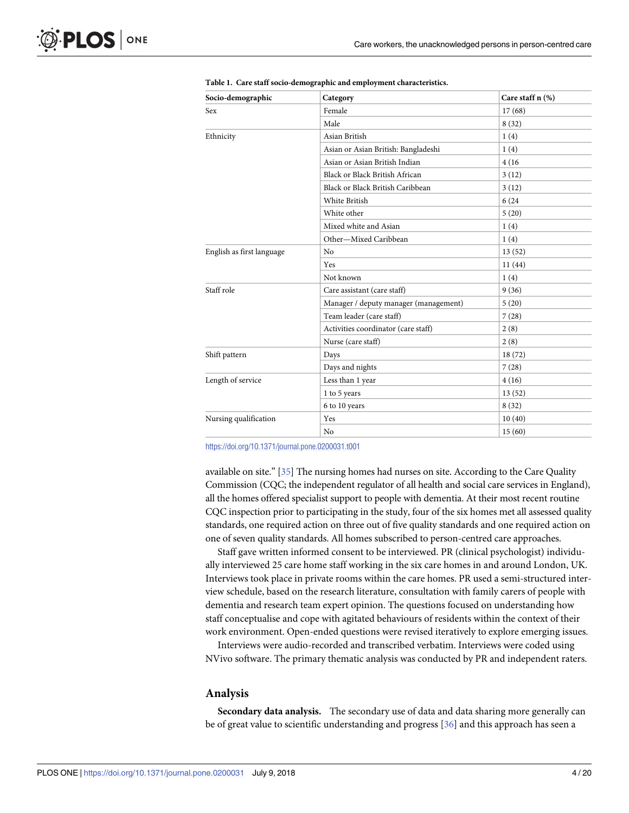| Socio-demographic         | Category                              | Care staff n (%) |  |
|---------------------------|---------------------------------------|------------------|--|
| <b>Sex</b>                | Female                                | 17(68)           |  |
|                           | Male                                  | 8(32)            |  |
| Ethnicity                 | Asian British                         | 1(4)             |  |
|                           | Asian or Asian British: Bangladeshi   | 1(4)             |  |
|                           | Asian or Asian British Indian         | 4 (16)           |  |
|                           | Black or Black British African        | 3(12)            |  |
|                           | Black or Black British Caribbean      | 3(12)            |  |
|                           | White British                         | 6(24)            |  |
|                           | White other                           | 5(20)            |  |
|                           | Mixed white and Asian                 | 1(4)             |  |
|                           | Other-Mixed Caribbean                 | 1(4)             |  |
| English as first language | No                                    | 13(52)           |  |
|                           | Yes                                   | 11(44)           |  |
|                           | Not known                             | 1(4)             |  |
| Staff role                | Care assistant (care staff)           | 9(36)            |  |
|                           | Manager / deputy manager (management) | 5(20)            |  |
|                           | Team leader (care staff)              | 7(28)            |  |
|                           | Activities coordinator (care staff)   | 2(8)             |  |
|                           | Nurse (care staff)                    | 2(8)             |  |
| Shift pattern             | Days                                  | 18 (72)          |  |
|                           | Days and nights                       | 7(28)            |  |
| Length of service         | Less than 1 year                      | 4(16)            |  |
|                           | 1 to 5 years                          | 13(52)           |  |
|                           | 6 to 10 years                         | 8(32)            |  |
| Nursing qualification     | Yes                                   | 10(40)           |  |
|                           | No                                    | 15(60)           |  |

<span id="page-3-0"></span>**[Table](#page-2-0) 1. Care staff socio-demographic and employment characteristics.**

<https://doi.org/10.1371/journal.pone.0200031.t001>

available on site." [[35\]](#page-18-0) The nursing homes had nurses on site. According to the Care Quality Commission (CQC; the independent regulator of all health and social care services in England), all the homes offered specialist support to people with dementia. At their most recent routine CQC inspection prior to participating in the study, four of the six homes met all assessed quality standards, one required action on three out of five quality standards and one required action on one of seven quality standards. All homes subscribed to person-centred care approaches.

Staff gave written informed consent to be interviewed. PR (clinical psychologist) individually interviewed 25 care home staff working in the six care homes in and around London, UK. Interviews took place in private rooms within the care homes. PR used a semi-structured interview schedule, based on the research literature, consultation with family carers of people with dementia and research team expert opinion. The questions focused on understanding how staff conceptualise and cope with agitated behaviours of residents within the context of their work environment. Open-ended questions were revised iteratively to explore emerging issues.

Interviews were audio-recorded and transcribed verbatim. Interviews were coded using NVivo software. The primary thematic analysis was conducted by PR and independent raters.

### **Analysis**

**Secondary data analysis.** The secondary use of data and data sharing more generally can be of great value to scientific understanding and progress [\[36\]](#page-18-0) and this approach has seen a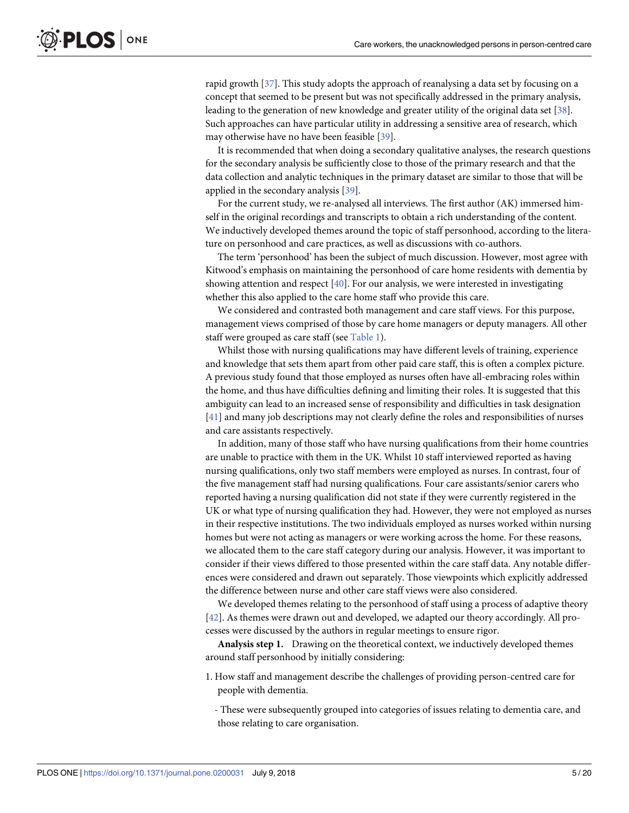<span id="page-4-0"></span>rapid growth [\[37\]](#page-18-0). This study adopts the approach of reanalysing a data set by focusing on a concept that seemed to be present but was not specifically addressed in the primary analysis, leading to the generation of new knowledge and greater utility of the original data set [[38](#page-18-0)]. Such approaches can have particular utility in addressing a sensitive area of research, which may otherwise have no have been feasible [\[39\]](#page-18-0).

It is recommended that when doing a secondary qualitative analyses, the research questions for the secondary analysis be sufficiently close to those of the primary research and that the data collection and analytic techniques in the primary dataset are similar to those that will be applied in the secondary analysis [[39](#page-18-0)].

For the current study, we re-analysed all interviews. The first author (AK) immersed himself in the original recordings and transcripts to obtain a rich understanding of the content. We inductively developed themes around the topic of staff personhood, according to the literature on personhood and care practices, as well as discussions with co-authors.

The term 'personhood' has been the subject of much discussion. However, most agree with Kitwood's emphasis on maintaining the personhood of care home residents with dementia by showing attention and respect  $[40]$ . For our analysis, we were interested in investigating whether this also applied to the care home staff who provide this care.

We considered and contrasted both management and care staff views. For this purpose, management views comprised of those by care home managers or deputy managers. All other staff were grouped as care staff (see [Table](#page-3-0) 1).

Whilst those with nursing qualifications may have different levels of training, experience and knowledge that sets them apart from other paid care staff, this is often a complex picture. A previous study found that those employed as nurses often have all-embracing roles within the home, and thus have difficulties defining and limiting their roles. It is suggested that this ambiguity can lead to an increased sense of responsibility and difficulties in task designation [\[41\]](#page-18-0) and many job descriptions may not clearly define the roles and responsibilities of nurses and care assistants respectively.

In addition, many of those staff who have nursing qualifications from their home countries are unable to practice with them in the UK. Whilst 10 staff interviewed reported as having nursing qualifications, only two staff members were employed as nurses. In contrast, four of the five management staff had nursing qualifications. Four care assistants/senior carers who reported having a nursing qualification did not state if they were currently registered in the UK or what type of nursing qualification they had. However, they were not employed as nurses in their respective institutions. The two individuals employed as nurses worked within nursing homes but were not acting as managers or were working across the home. For these reasons, we allocated them to the care staff category during our analysis. However, it was important to consider if their views differed to those presented within the care staff data. Any notable differences were considered and drawn out separately. Those viewpoints which explicitly addressed the difference between nurse and other care staff views were also considered.

We developed themes relating to the personhood of staff using a process of adaptive theory [\[42\]](#page-18-0). As themes were drawn out and developed, we adapted our theory accordingly. All processes were discussed by the authors in regular meetings to ensure rigor.

**Analysis step 1.** Drawing on the theoretical context, we inductively developed themes around staff personhood by initially considering:

- 1. How staff and management describe the challenges of providing person-centred care for people with dementia.
	- These were subsequently grouped into categories of issues relating to dementia care, and those relating to care organisation.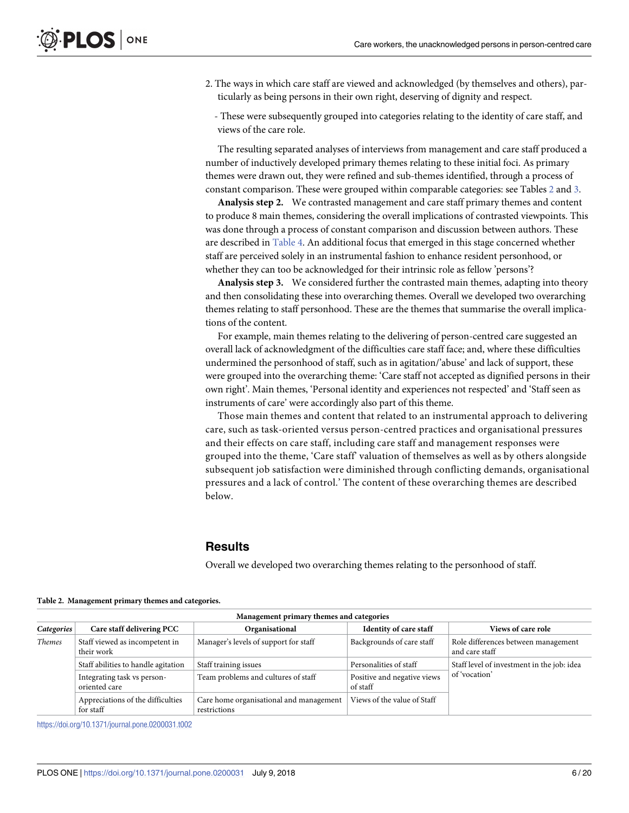- <span id="page-5-0"></span>2. The ways in which care staff are viewed and acknowledged (by themselves and others), particularly as being persons in their own right, deserving of dignity and respect.
	- These were subsequently grouped into categories relating to the identity of care staff, and views of the care role.

The resulting separated analyses of interviews from management and care staff produced a number of inductively developed primary themes relating to these initial foci. As primary themes were drawn out, they were refined and sub-themes identified, through a process of constant comparison. These were grouped within comparable categories: see Tables 2 and [3.](#page-6-0)

**Analysis step 2.** We contrasted management and care staff primary themes and content to produce 8 main themes, considering the overall implications of contrasted viewpoints. This was done through a process of constant comparison and discussion between authors. These are described in [Table](#page-6-0) 4. An additional focus that emerged in this stage concerned whether staff are perceived solely in an instrumental fashion to enhance resident personhood, or whether they can too be acknowledged for their intrinsic role as fellow 'persons'?

**Analysis step 3.** We considered further the contrasted main themes, adapting into theory and then consolidating these into overarching themes. Overall we developed two overarching themes relating to staff personhood. These are the themes that summarise the overall implications of the content.

For example, main themes relating to the delivering of person-centred care suggested an overall lack of acknowledgment of the difficulties care staff face; and, where these difficulties undermined the personhood of staff, such as in agitation/'abuse' and lack of support, these were grouped into the overarching theme: 'Care staff not accepted as dignified persons in their own right'. Main themes, 'Personal identity and experiences not respected' and 'Staff seen as instruments of care' were accordingly also part of this theme.

Those main themes and content that related to an instrumental approach to delivering care, such as task-oriented versus person-centred practices and organisational pressures and their effects on care staff, including care staff and management responses were grouped into the theme, 'Care staff' valuation of themselves as well as by others alongside subsequent job satisfaction were diminished through conflicting demands, organisational pressures and a lack of control.' The content of these overarching themes are described below.

### **Results**

Overall we developed two overarching themes relating to the personhood of staff.

| Management primary themes and categories |                                                |                                                         |                                         |                                                       |  |  |  |
|------------------------------------------|------------------------------------------------|---------------------------------------------------------|-----------------------------------------|-------------------------------------------------------|--|--|--|
| Categories                               | Care staff delivering PCC                      | Organisational                                          | Identity of care staff                  | Views of care role                                    |  |  |  |
| <b>Themes</b>                            | Staff viewed as incompetent in<br>their work   | Manager's levels of support for staff                   | Backgrounds of care staff               | Role differences between management<br>and care staff |  |  |  |
|                                          | Staff abilities to handle agitation            | Staff training issues                                   | Personalities of staff                  | Staff level of investment in the job: idea            |  |  |  |
|                                          | Integrating task vs person-<br>oriented care   | Team problems and cultures of staff                     | Positive and negative views<br>of staff | of 'vocation'                                         |  |  |  |
|                                          | Appreciations of the difficulties<br>for staff | Care home organisational and management<br>restrictions | Views of the value of Staff             |                                                       |  |  |  |

**Table 2. Management primary themes and categories.**

<https://doi.org/10.1371/journal.pone.0200031.t002>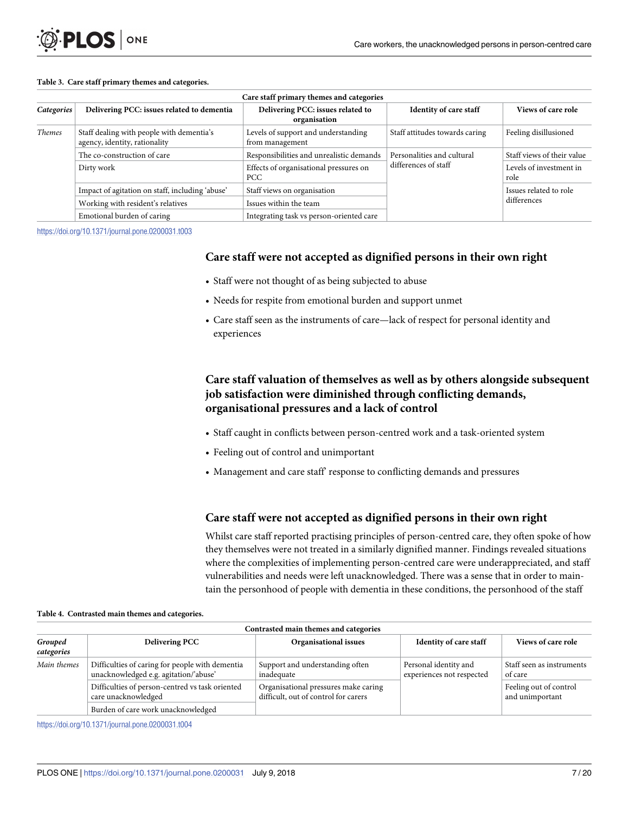#### <span id="page-6-0"></span>**[Table](#page-5-0) 3. Care staff primary themes and categories.**

| Care staff primary themes and categories |                                                                            |                                                        |                                |                                       |  |  |  |
|------------------------------------------|----------------------------------------------------------------------------|--------------------------------------------------------|--------------------------------|---------------------------------------|--|--|--|
| Categories                               | Delivering PCC: issues related to dementia                                 | Delivering PCC: issues related to<br>organisation      | Identity of care staff         | Views of care role                    |  |  |  |
| <b>Themes</b>                            | Staff dealing with people with dementia's<br>agency, identity, rationality | Levels of support and understanding<br>from management | Staff attitudes towards caring | Feeling disillusioned                 |  |  |  |
|                                          | The co-construction of care                                                | Responsibilities and unrealistic demands               | Personalities and cultural     | Staff views of their value            |  |  |  |
|                                          | Dirty work                                                                 | Effects of organisational pressures on<br>PCC          | differences of staff           | Levels of investment in<br>role       |  |  |  |
|                                          | Impact of agitation on staff, including 'abuse'                            | Staff views on organisation                            |                                | Issues related to role<br>differences |  |  |  |
|                                          | Working with resident's relatives                                          | Issues within the team                                 |                                |                                       |  |  |  |
|                                          | Emotional burden of caring                                                 | Integrating task vs person-oriented care               |                                |                                       |  |  |  |

<https://doi.org/10.1371/journal.pone.0200031.t003>

### **Care staff were not accepted as dignified persons in their own right**

- Staff were not thought of as being subjected to abuse
- Needs for respite from emotional burden and support unmet
- Care staff seen as the instruments of care—lack of respect for personal identity and experiences

# **Care staff valuation of themselves as well as by others alongside subsequent job satisfaction were diminished through conflicting demands, organisational pressures and a lack of control**

- Staff caught in conflicts between person-centred work and a task-oriented system
- Feeling out of control and unimportant
- Management and care staff' response to conflicting demands and pressures

### **Care staff were not accepted as dignified persons in their own right**

Whilst care staff reported practising principles of person-centred care, they often spoke of how they themselves were not treated in a similarly dignified manner. Findings revealed situations where the complexities of implementing person-centred care were underappreciated, and staff vulnerabilities and needs were left unacknowledged. There was a sense that in order to maintain the personhood of people with dementia in these conditions, the personhood of the staff

#### **[Table](#page-5-0) 4. Contrasted main themes and categories.**

| Contrasted main themes and categories |                                                                                          |                                                                              |                                                    |                                           |  |  |  |
|---------------------------------------|------------------------------------------------------------------------------------------|------------------------------------------------------------------------------|----------------------------------------------------|-------------------------------------------|--|--|--|
| Grouped<br>categories                 | <b>Delivering PCC</b>                                                                    | <b>Organisational issues</b>                                                 | Identity of care staff                             | Views of care role                        |  |  |  |
| Main themes                           | Difficulties of caring for people with dementia<br>unacknowledged e.g. agitation/'abuse' | Support and understanding often<br>inadequate                                | Personal identity and<br>experiences not respected | Staff seen as instruments<br>of care      |  |  |  |
|                                       | Difficulties of person-centred vs task oriented<br>care unacknowledged                   | Organisational pressures make caring<br>difficult, out of control for carers |                                                    | Feeling out of control<br>and unimportant |  |  |  |
|                                       | Burden of care work unacknowledged                                                       |                                                                              |                                                    |                                           |  |  |  |

<https://doi.org/10.1371/journal.pone.0200031.t004>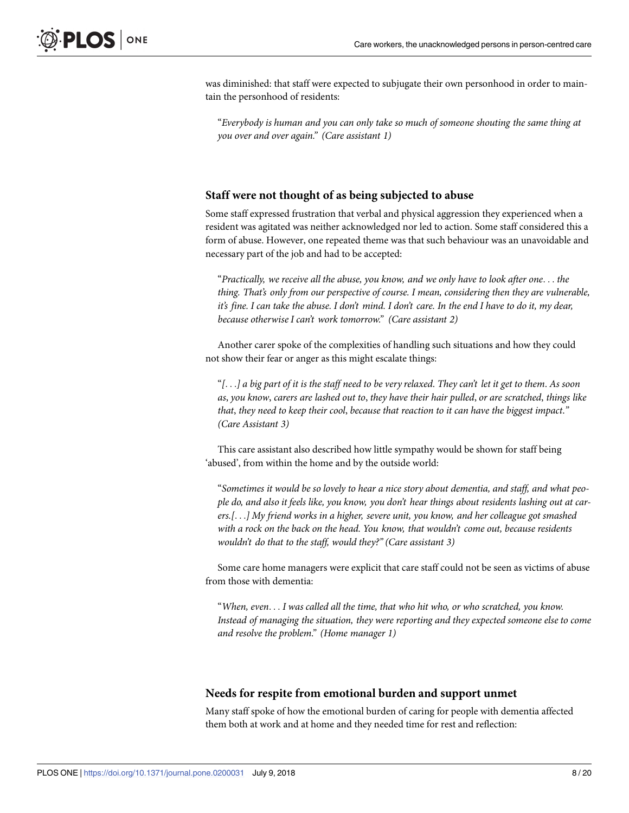was diminished: that staff were expected to subjugate their own personhood in order to maintain the personhood of residents:

"*Everybody is human and you can only take so much of someone shouting the same thing at you over and over again." (Care assistant 1)*

### **Staff were not thought of as being subjected to abuse**

Some staff expressed frustration that verbal and physical aggression they experienced when a resident was agitated was neither acknowledged nor led to action. Some staff considered this a form of abuse. However, one repeated theme was that such behaviour was an unavoidable and necessary part of the job and had to be accepted:

"*Practically, we receive all the abuse, you know, and we only have to look after one*. . . *the thing. That's only from our perspective of course. I mean, considering then they are vulnerable,* it's fine. I can take the abuse. I don't mind. I don't care. In the end I have to do it, my dear, *because otherwise I can't work tomorrow." (Care assistant 2)*

Another carer spoke of the complexities of handling such situations and how they could not show their fear or anger as this might escalate things:

"[...] a big part of it is the staff need to be very relaxed. They can't let it get to them. As soon *as*, *you know*, *carers are lashed out to*, *they have their hair pulled*, *or are scratched*, *things like that*, *they need to keep their cool*, *because that reaction to it can have the biggest impact*.*" (Care Assistant 3)*

This care assistant also described how little sympathy would be shown for staff being 'abused', from within the home and by the outside world:

"*Sometimes it would be so lovely to hear a nice story about dementia, and staff, and what peo*ple do, and also it feels like, you know, you don't hear things about residents lashing out at car*ers.[*. . .*] My friend works in a higher, severe unit, you know, and her colleague got smashed with a rock on the back on the head. You know, that wouldn't come out, because residents wouldn't do that to the staff, would they?" (Care assistant 3)*

Some care home managers were explicit that care staff could not be seen as victims of abuse from those with dementia:

"*When, even*. . . *I was called all the time, that who hit who, or who scratched, you know. Instead of managing the situation, they were reporting and they expected someone else to come and resolve the problem." (Home manager 1)*

### **Needs for respite from emotional burden and support unmet**

Many staff spoke of how the emotional burden of caring for people with dementia affected them both at work and at home and they needed time for rest and reflection: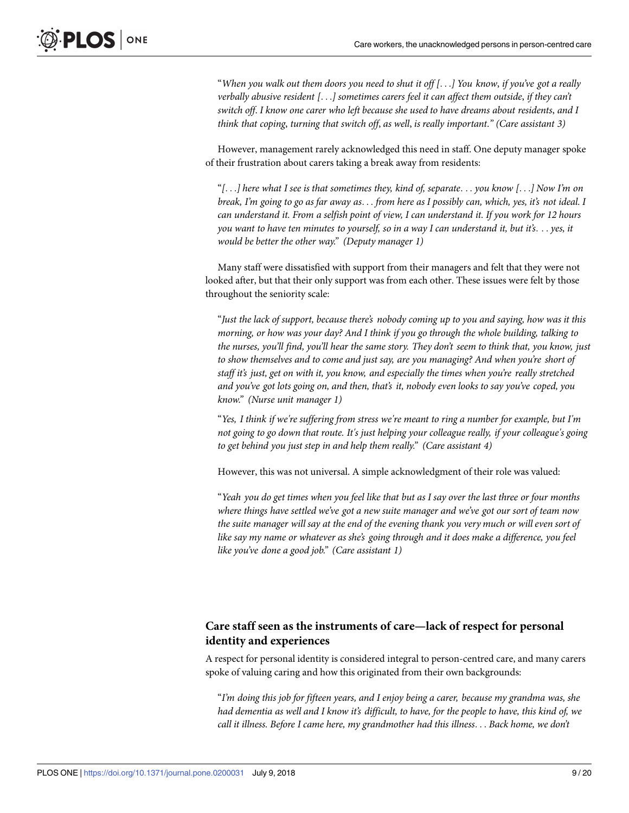"When you walk out them doors you need to shut it off [...] You know, if you've got a really *verbally abusive resident [*. . .*] sometimes carers feel it can affect them outside*, *if they can't switch off*. *I know one carer who left because she used to have dreams about residents*, *and I think that coping*, *turning that switch off*, *as well*, *is really important*.*" (Care assistant 3)*

However, management rarely acknowledged this need in staff. One deputy manager spoke of their frustration about carers taking a break away from residents:

"[...] here what I see is that sometimes they, kind of, separate... you know [...] Now I'm on break, I'm going to go as far away as... from here as I possibly can, which, yes, it's not ideal. I can understand it. From a selfish point of view, I can understand it. If you work for 12 hours you want to have ten minutes to yourself, so in a way I can understand it, but it's. . . yes, it *would be better the other way." (Deputy manager 1)*

Many staff were dissatisfied with support from their managers and felt that they were not looked after, but that their only support was from each other. These issues were felt by those throughout the seniority scale:

"*Just the lack of support, because there's nobody coming up to you and saying, how was it this morning, or how was your day? And I think if you go through the whole building, talking to the nurses, you'll find, you'll hear the same story. They don't seem to think that, you know, just to show themselves and to come and just say, are you managing? And when you're short of staff it's just, get on with it, you know, and especially the times when you're really stretched and you've got lots going on, and then, that's it, nobody even looks to say you've coped, you know." (Nurse unit manager 1)*

"*Yes, I think if we're suffering from stress we're meant to ring a number for example, but I'm not going to go down that route. It's just helping your colleague really, if your colleague's going to get behind you just step in and help them really." (Care assistant 4)*

However, this was not universal. A simple acknowledgment of their role was valued:

"Yeah you do get times when you feel like that but as I say over the last three or four months *where things have settled we've got a new suite manager and we've got our sort of team now* the suite manager will say at the end of the evening thank you very much or will even sort of *like say my name or whatever as she's going through and it does make a difference, you feel like you've done a good job." (Care assistant 1)*

## **Care staff seen as the instruments of care—lack of respect for personal identity and experiences**

A respect for personal identity is considered integral to person-centred care, and many carers spoke of valuing caring and how this originated from their own backgrounds:

"*I'm doing this job for fifteen years, and I enjoy being a carer, because my grandma was, she* had dementia as well and I know it's difficult, to have, for the people to have, this kind of, we *call it illness. Before I came here, my grandmother had this illness*. . . *Back home, we don't*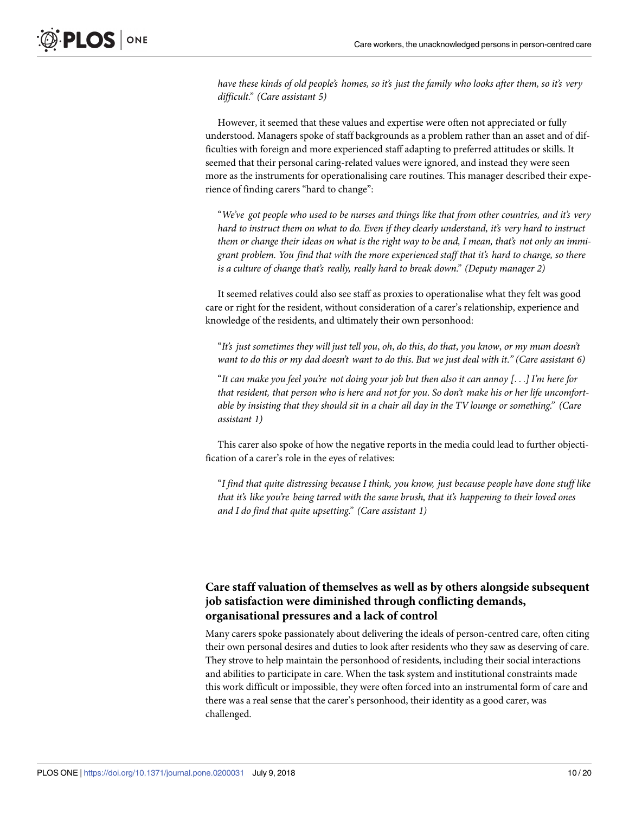have these kinds of old people's homes, so it's just the family who looks after them, so it's very *difficult." (Care assistant 5)*

However, it seemed that these values and expertise were often not appreciated or fully understood. Managers spoke of staff backgrounds as a problem rather than an asset and of difficulties with foreign and more experienced staff adapting to preferred attitudes or skills. It seemed that their personal caring-related values were ignored, and instead they were seen more as the instruments for operationalising care routines. This manager described their experience of finding carers "hard to change":

"*We've got people who used to be nurses and things like that from other countries, and it's very hard to instruct them on what to do. Even if they clearly understand, it's very hard to instruct* them or change their ideas on what is the right way to be and, I mean, that's not only an immi*grant problem. You find that with the more experienced staff that it's hard to change, so there is a culture of change that's really, really hard to break down." (Deputy manager 2)*

It seemed relatives could also see staff as proxies to operationalise what they felt was good care or right for the resident, without consideration of a carer's relationship, experience and knowledge of the residents, and ultimately their own personhood:

"It's just sometimes they will just tell you, oh, do this, do that, you know, or my mum doesn't want to do this or my dad doesn't want to do this. But we just deal with it." (Care assistant 6)

"It can make you feel you're not doing your job but then also it can annoy [...] I'm here for that resident, that person who is here and not for you. So don't make his or her life uncomfortable by insisting that they should sit in a chair all day in the TV lounge or something." (Care *assistant 1)*

This carer also spoke of how the negative reports in the media could lead to further objectification of a carer's role in the eyes of relatives:

"*I find that quite distressing because I think, you know, just because people have done stuff like that it's like you're being tarred with the same brush, that it's happening to their loved ones and I do find that quite upsetting." (Care assistant 1)*

# **Care staff valuation of themselves as well as by others alongside subsequent job satisfaction were diminished through conflicting demands, organisational pressures and a lack of control**

Many carers spoke passionately about delivering the ideals of person-centred care, often citing their own personal desires and duties to look after residents who they saw as deserving of care. They strove to help maintain the personhood of residents, including their social interactions and abilities to participate in care. When the task system and institutional constraints made this work difficult or impossible, they were often forced into an instrumental form of care and there was a real sense that the carer's personhood, their identity as a good carer, was challenged.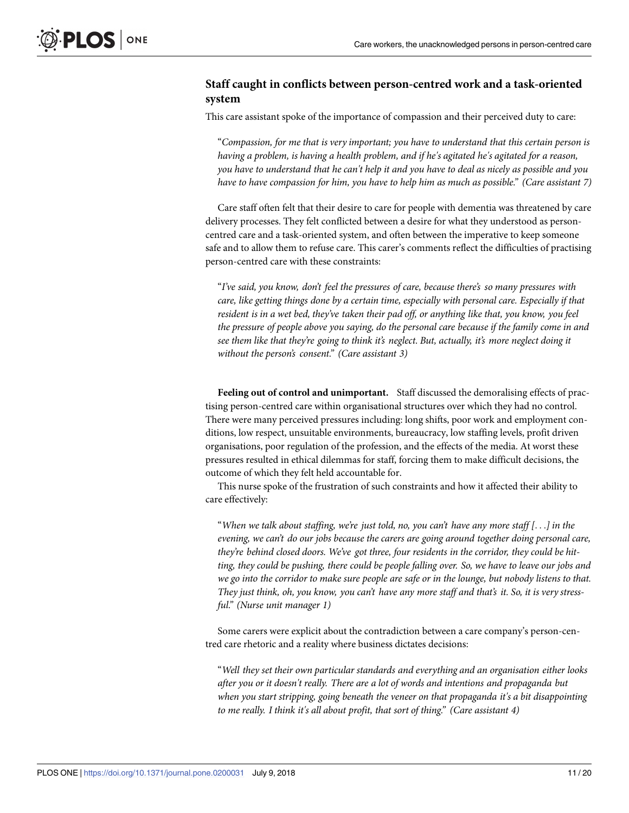# **Staff caught in conflicts between person-centred work and a task-oriented system**

This care assistant spoke of the importance of compassion and their perceived duty to care:

"*Compassion, for me that is very important; you have to understand that this certain person is having a problem, is having a health problem, and if he's agitated he's agitated for a reason,* you have to understand that he can't help it and you have to deal as nicely as possible and you *have to have compassion for him, you have to help him as much as possible." (Care assistant 7)*

Care staff often felt that their desire to care for people with dementia was threatened by care delivery processes. They felt conflicted between a desire for what they understood as personcentred care and a task-oriented system, and often between the imperative to keep someone safe and to allow them to refuse care. This carer's comments reflect the difficulties of practising person-centred care with these constraints:

"*I've said, you know, don't feel the pressures of care, because there's so many pressures with care, like getting things done by a certain time, especially with personal care. Especially if that* resident is in a wet bed, they've taken their pad off, or anything like that, you know, you feel *the pressure of people above you saying, do the personal care because if the family come in and see them like that they're going to think it's neglect. But, actually, it's more neglect doing it without the person's consent." (Care assistant 3)*

**Feeling out of control and unimportant.** Staff discussed the demoralising effects of practising person-centred care within organisational structures over which they had no control. There were many perceived pressures including: long shifts, poor work and employment conditions, low respect, unsuitable environments, bureaucracy, low staffing levels, profit driven organisations, poor regulation of the profession, and the effects of the media. At worst these pressures resulted in ethical dilemmas for staff, forcing them to make difficult decisions, the outcome of which they felt held accountable for.

This nurse spoke of the frustration of such constraints and how it affected their ability to care effectively:

"When we talk about staffing, we're just told, no, you can't have any more staff [...] in the *evening, we can't do our jobs because the carers are going around together doing personal care, they're behind closed doors. We've got three, four residents in the corridor, they could be hit*ting, they could be pushing, there could be people falling over. So, we have to leave our jobs and we go into the corridor to make sure people are safe or in the lounge, but nobody listens to that. They just think, oh, you know, you can't have any more staff and that's it. So, it is very stress*ful." (Nurse unit manager 1)*

Some carers were explicit about the contradiction between a care company's person-centred care rhetoric and a reality where business dictates decisions:

"*Well they set their own particular standards and everything and an organisation either looks after you or it doesn't really. There are a lot of words and intentions and propaganda but when you start stripping, going beneath the veneer on that propaganda it's a bit disappointing to me really. I think it's all about profit, that sort of thing." (Care assistant 4)*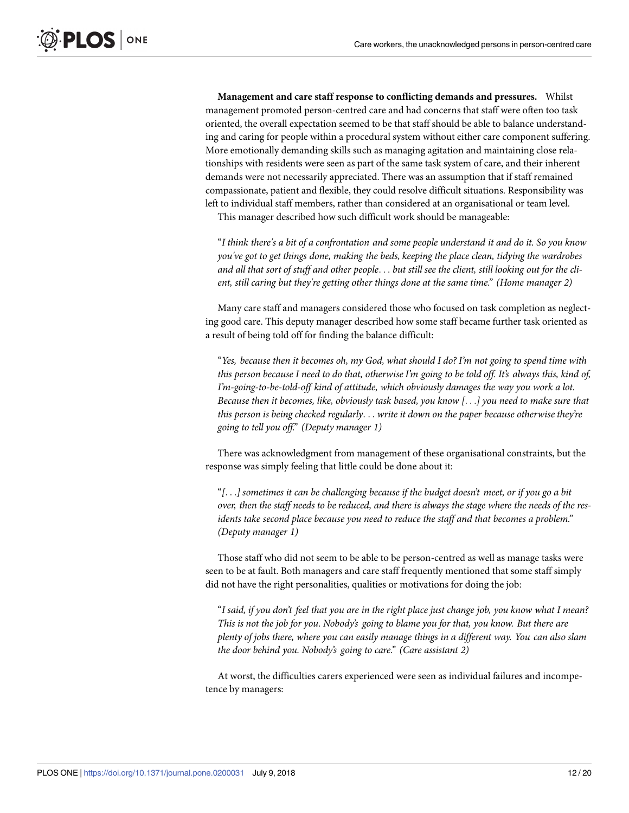**Management and care staff response to conflicting demands and pressures.** Whilst management promoted person-centred care and had concerns that staff were often too task oriented, the overall expectation seemed to be that staff should be able to balance understanding and caring for people within a procedural system without either care component suffering. More emotionally demanding skills such as managing agitation and maintaining close relationships with residents were seen as part of the same task system of care, and their inherent demands were not necessarily appreciated. There was an assumption that if staff remained compassionate, patient and flexible, they could resolve difficult situations. Responsibility was left to individual staff members, rather than considered at an organisational or team level. This manager described how such difficult work should be manageable:

"I think there's a bit of a confrontation and some people understand it and do it. So you know *you've got to get things done, making the beds, keeping the place clean, tidying the wardrobes* and all that sort of stuff and other people... but still see the client, still looking out for the cli*ent, still caring but they're getting other things done at the same time." (Home manager 2)*

Many care staff and managers considered those who focused on task completion as neglecting good care. This deputy manager described how some staff became further task oriented as a result of being told off for finding the balance difficult:

"Yes, because then it becomes oh, my God, what should I do? I'm not going to spend time with this person because I need to do that, otherwise I'm going to be told off. It's always this, kind of, *I'm-going-to-be-told-off kind of attitude, which obviously damages the way you work a lot. Because then it becomes, like, obviously task based, you know [*. . .*] you need to make sure that this person is being checked regularly*. . . *write it down on the paper because otherwise they're going to tell you off." (Deputy manager 1)*

There was acknowledgment from management of these organisational constraints, but the response was simply feeling that little could be done about it:

"[...] sometimes it can be challenging because if the budget doesn't meet, or if you go a bit over, then the staff needs to be reduced, and there is always the stage where the needs of the res*idents take second place because you need to reduce the staff and that becomes a problem." (Deputy manager 1)*

Those staff who did not seem to be able to be person-centred as well as manage tasks were seen to be at fault. Both managers and care staff frequently mentioned that some staff simply did not have the right personalities, qualities or motivations for doing the job:

"I said, if you don't feel that you are in the right place just change job, you know what I mean? *This is not the job for you. Nobody's going to blame you for that, you know. But there are plenty of jobs there, where you can easily manage things in a different way. You can also slam the door behind you. Nobody's going to care." (Care assistant 2)*

At worst, the difficulties carers experienced were seen as individual failures and incompetence by managers: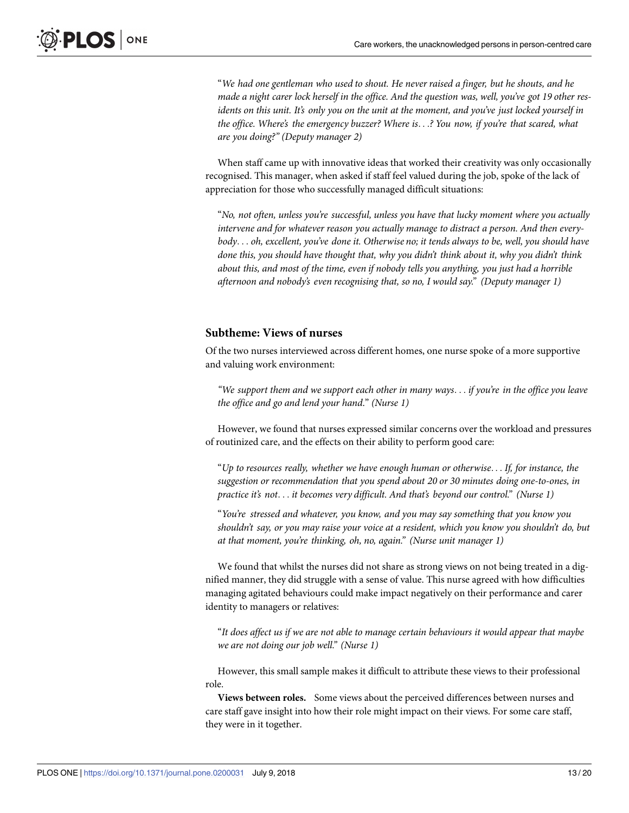"*We had one gentleman who used to shout. He never raised a finger, but he shouts, and he* made a night carer lock herself in the office. And the question was, well, you've got 19 other residents on this unit. It's only you on the unit at the moment, and you've just locked yourself in *the office. Where's the emergency buzzer? Where is*. . .*? You now, if you're that scared, what are you doing?" (Deputy manager 2)*

When staff came up with innovative ideas that worked their creativity was only occasionally recognised. This manager, when asked if staff feel valued during the job, spoke of the lack of appreciation for those who successfully managed difficult situations:

"*No, not often, unless you're successful, unless you have that lucky moment where you actually intervene and for whatever reason you actually manage to distract a person. And then everybody*. . . *oh, excellent, you've done it. Otherwise no; it tends always to be, well, you should have done this, you should have thought that, why you didn't think about it, why you didn't think about this, and most of the time, even if nobody tells you anything, you just had a horrible afternoon and nobody's even recognising that, so no, I would say." (Deputy manager 1)*

### **Subtheme: Views of nurses**

Of the two nurses interviewed across different homes, one nurse spoke of a more supportive and valuing work environment:

*"We support them and we support each other in many ways*. . . *if you're in the office you leave the office and go and lend your hand*." *(Nurse 1)*

However, we found that nurses expressed similar concerns over the workload and pressures of routinized care, and the effects on their ability to perform good care:

"*Up to resources really, whether we have enough human or otherwise*.. . *If, for instance, the suggestion or recommendation that you spend about 20 or 30 minutes doing one-to-ones, in practice it's not*. . . *it becomes very difficult. And that's beyond our control." (Nurse 1)*

"*You're stressed and whatever, you know, and you may say something that you know you shouldn't say, or you may raise your voice at a resident, which you know you shouldn't do, but at that moment, you're thinking, oh, no, again." (Nurse unit manager 1)*

We found that whilst the nurses did not share as strong views on not being treated in a dignified manner, they did struggle with a sense of value. This nurse agreed with how difficulties managing agitated behaviours could make impact negatively on their performance and carer identity to managers or relatives:

"*It does affect us if we are not able to manage certain behaviours it would appear that maybe we are not doing our job well." (Nurse 1)*

However, this small sample makes it difficult to attribute these views to their professional role.

**Views between roles.** Some views about the perceived differences between nurses and care staff gave insight into how their role might impact on their views. For some care staff, they were in it together.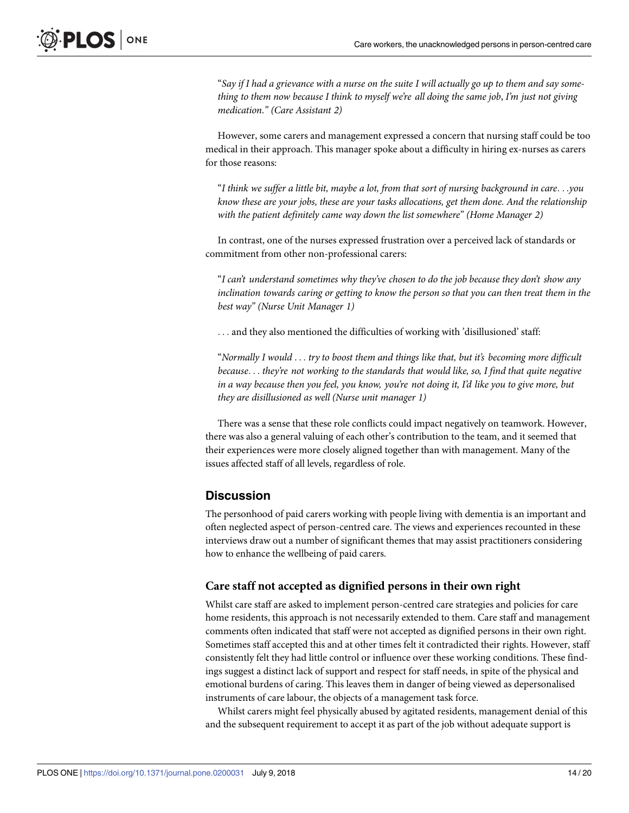"Say if I had a grievance with a nurse on the suite I will actually go up to them and say something to them now because I think to myself we're all doing the same job, I'm just not giving *medication*.*" (Care Assistant 2)*

However, some carers and management expressed a concern that nursing staff could be too medical in their approach. This manager spoke about a difficulty in hiring ex-nurses as carers for those reasons:

"I think we suffer a little bit, maybe a lot, from that sort of nursing background in care...you *know these are your jobs, these are your tasks allocations, get them done. And the relationship with the patient definitely came way down the list somewhere" (Home Manager 2)*

In contrast, one of the nurses expressed frustration over a perceived lack of standards or commitment from other non-professional carers:

"*I can't understand sometimes why they've chosen to do the job because they don't show any inclination towards caring or getting to know the person so that you can then treat them in the best way" (Nurse Unit Manager 1)*

. . . and they also mentioned the difficulties of working with 'disillusioned' staff:

"*Normally I would* . . . *try to boost them and things like that, but it's becoming more difficult because*. . . *they're not working to the standards that would like, so, I find that quite negative* in a way because then you feel, you know, you're not doing it, I'd like you to give more, but *they are disillusioned as well (Nurse unit manager 1)*

There was a sense that these role conflicts could impact negatively on teamwork. However, there was also a general valuing of each other's contribution to the team, and it seemed that their experiences were more closely aligned together than with management. Many of the issues affected staff of all levels, regardless of role.

### **Discussion**

The personhood of paid carers working with people living with dementia is an important and often neglected aspect of person-centred care. The views and experiences recounted in these interviews draw out a number of significant themes that may assist practitioners considering how to enhance the wellbeing of paid carers.

### **Care staff not accepted as dignified persons in their own right**

Whilst care staff are asked to implement person-centred care strategies and policies for care home residents, this approach is not necessarily extended to them. Care staff and management comments often indicated that staff were not accepted as dignified persons in their own right. Sometimes staff accepted this and at other times felt it contradicted their rights. However, staff consistently felt they had little control or influence over these working conditions. These findings suggest a distinct lack of support and respect for staff needs, in spite of the physical and emotional burdens of caring. This leaves them in danger of being viewed as depersonalised instruments of care labour, the objects of a management task force.

Whilst carers might feel physically abused by agitated residents, management denial of this and the subsequent requirement to accept it as part of the job without adequate support is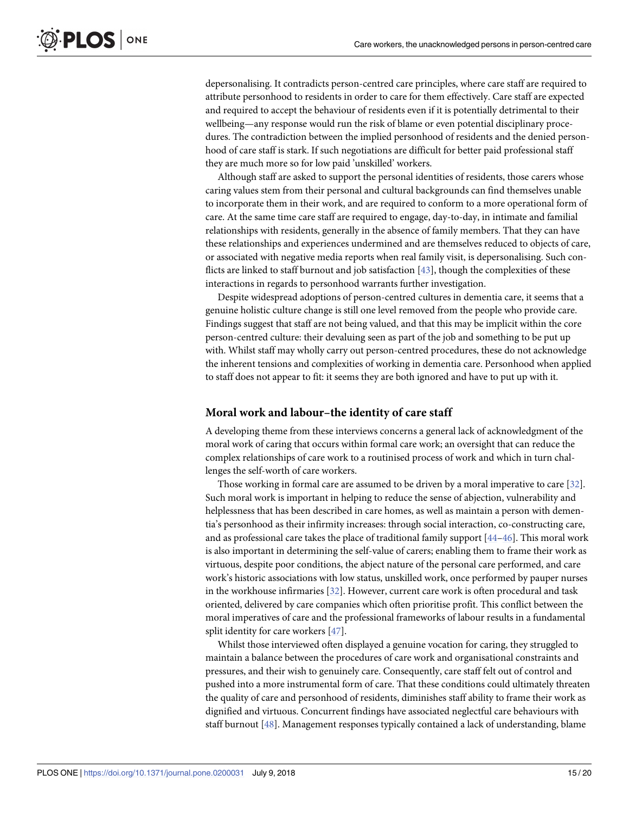<span id="page-14-0"></span>depersonalising. It contradicts person-centred care principles, where care staff are required to attribute personhood to residents in order to care for them effectively. Care staff are expected and required to accept the behaviour of residents even if it is potentially detrimental to their wellbeing—any response would run the risk of blame or even potential disciplinary procedures. The contradiction between the implied personhood of residents and the denied personhood of care staff is stark. If such negotiations are difficult for better paid professional staff they are much more so for low paid 'unskilled' workers.

Although staff are asked to support the personal identities of residents, those carers whose caring values stem from their personal and cultural backgrounds can find themselves unable to incorporate them in their work, and are required to conform to a more operational form of care. At the same time care staff are required to engage, day-to-day, in intimate and familial relationships with residents, generally in the absence of family members. That they can have these relationships and experiences undermined and are themselves reduced to objects of care, or associated with negative media reports when real family visit, is depersonalising. Such conflicts are linked to staff burnout and job satisfaction [[43](#page-18-0)], though the complexities of these interactions in regards to personhood warrants further investigation.

Despite widespread adoptions of person-centred cultures in dementia care, it seems that a genuine holistic culture change is still one level removed from the people who provide care. Findings suggest that staff are not being valued, and that this may be implicit within the core person-centred culture: their devaluing seen as part of the job and something to be put up with. Whilst staff may wholly carry out person-centred procedures, these do not acknowledge the inherent tensions and complexities of working in dementia care. Personhood when applied to staff does not appear to fit: it seems they are both ignored and have to put up with it.

### **Moral work and labour–the identity of care staff**

A developing theme from these interviews concerns a general lack of acknowledgment of the moral work of caring that occurs within formal care work; an oversight that can reduce the complex relationships of care work to a routinised process of work and which in turn challenges the self-worth of care workers.

Those working in formal care are assumed to be driven by a moral imperative to care [[32](#page-18-0)]. Such moral work is important in helping to reduce the sense of abjection, vulnerability and helplessness that has been described in care homes, as well as maintain a person with dementia's personhood as their infirmity increases: through social interaction, co-constructing care, and as professional care takes the place of traditional family support [[44–46\]](#page-19-0). This moral work is also important in determining the self-value of carers; enabling them to frame their work as virtuous, despite poor conditions, the abject nature of the personal care performed, and care work's historic associations with low status, unskilled work, once performed by pauper nurses in the workhouse infirmaries [\[32\]](#page-18-0). However, current care work is often procedural and task oriented, delivered by care companies which often prioritise profit. This conflict between the moral imperatives of care and the professional frameworks of labour results in a fundamental split identity for care workers [\[47\]](#page-19-0).

Whilst those interviewed often displayed a genuine vocation for caring, they struggled to maintain a balance between the procedures of care work and organisational constraints and pressures, and their wish to genuinely care. Consequently, care staff felt out of control and pushed into a more instrumental form of care. That these conditions could ultimately threaten the quality of care and personhood of residents, diminishes staff ability to frame their work as dignified and virtuous. Concurrent findings have associated neglectful care behaviours with staff burnout [\[48\]](#page-19-0). Management responses typically contained a lack of understanding, blame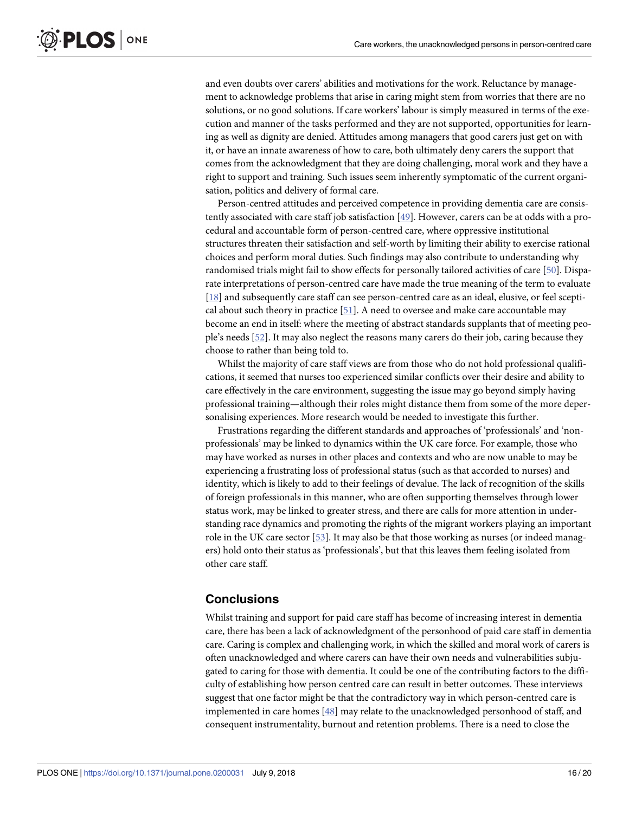<span id="page-15-0"></span>and even doubts over carers' abilities and motivations for the work. Reluctance by management to acknowledge problems that arise in caring might stem from worries that there are no solutions, or no good solutions. If care workers' labour is simply measured in terms of the execution and manner of the tasks performed and they are not supported, opportunities for learning as well as dignity are denied. Attitudes among managers that good carers just get on with it, or have an innate awareness of how to care, both ultimately deny carers the support that comes from the acknowledgment that they are doing challenging, moral work and they have a right to support and training. Such issues seem inherently symptomatic of the current organisation, politics and delivery of formal care.

Person-centred attitudes and perceived competence in providing dementia care are consistently associated with care staff job satisfaction [[49](#page-19-0)]. However, carers can be at odds with a procedural and accountable form of person-centred care, where oppressive institutional structures threaten their satisfaction and self-worth by limiting their ability to exercise rational choices and perform moral duties. Such findings may also contribute to understanding why randomised trials might fail to show effects for personally tailored activities of care [\[50](#page-19-0)]. Disparate interpretations of person-centred care have made the true meaning of the term to evaluate [\[18\]](#page-17-0) and subsequently care staff can see person-centred care as an ideal, elusive, or feel sceptical about such theory in practice [\[51\]](#page-19-0). A need to oversee and make care accountable may become an end in itself: where the meeting of abstract standards supplants that of meeting people's needs [\[52\]](#page-19-0). It may also neglect the reasons many carers do their job, caring because they choose to rather than being told to.

Whilst the majority of care staff views are from those who do not hold professional qualifications, it seemed that nurses too experienced similar conflicts over their desire and ability to care effectively in the care environment, suggesting the issue may go beyond simply having professional training—although their roles might distance them from some of the more depersonalising experiences. More research would be needed to investigate this further.

Frustrations regarding the different standards and approaches of 'professionals' and 'nonprofessionals' may be linked to dynamics within the UK care force. For example, those who may have worked as nurses in other places and contexts and who are now unable to may be experiencing a frustrating loss of professional status (such as that accorded to nurses) and identity, which is likely to add to their feelings of devalue. The lack of recognition of the skills of foreign professionals in this manner, who are often supporting themselves through lower status work, may be linked to greater stress, and there are calls for more attention in understanding race dynamics and promoting the rights of the migrant workers playing an important role in the UK care sector [\[53\]](#page-19-0). It may also be that those working as nurses (or indeed managers) hold onto their status as 'professionals', but that this leaves them feeling isolated from other care staff.

### **Conclusions**

Whilst training and support for paid care staff has become of increasing interest in dementia care, there has been a lack of acknowledgment of the personhood of paid care staff in dementia care. Caring is complex and challenging work, in which the skilled and moral work of carers is often unacknowledged and where carers can have their own needs and vulnerabilities subjugated to caring for those with dementia. It could be one of the contributing factors to the difficulty of establishing how person centred care can result in better outcomes. These interviews suggest that one factor might be that the contradictory way in which person-centred care is implemented in care homes [\[48\]](#page-19-0) may relate to the unacknowledged personhood of staff, and consequent instrumentality, burnout and retention problems. There is a need to close the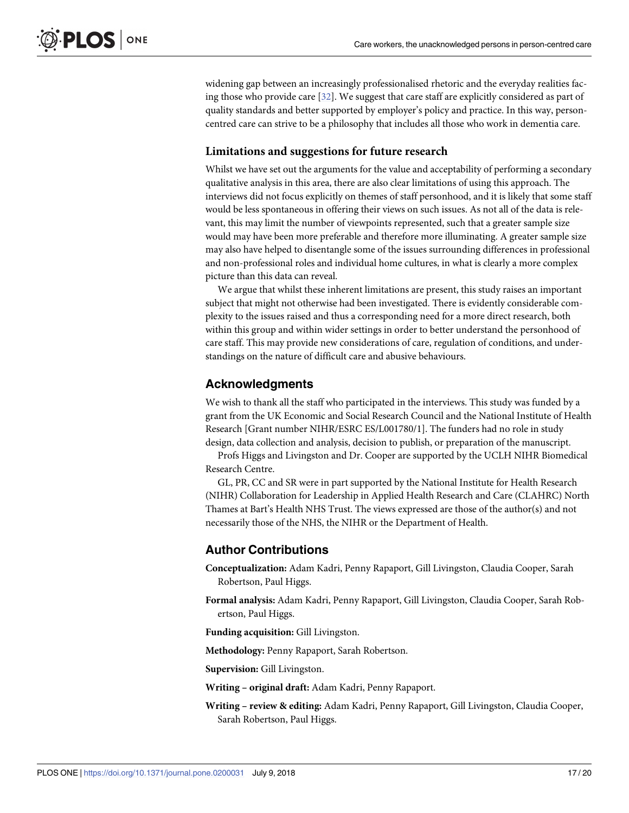widening gap between an increasingly professionalised rhetoric and the everyday realities facing those who provide care [[32](#page-18-0)]. We suggest that care staff are explicitly considered as part of quality standards and better supported by employer's policy and practice. In this way, personcentred care can strive to be a philosophy that includes all those who work in dementia care.

### **Limitations and suggestions for future research**

Whilst we have set out the arguments for the value and acceptability of performing a secondary qualitative analysis in this area, there are also clear limitations of using this approach. The interviews did not focus explicitly on themes of staff personhood, and it is likely that some staff would be less spontaneous in offering their views on such issues. As not all of the data is relevant, this may limit the number of viewpoints represented, such that a greater sample size would may have been more preferable and therefore more illuminating. A greater sample size may also have helped to disentangle some of the issues surrounding differences in professional and non-professional roles and individual home cultures, in what is clearly a more complex picture than this data can reveal.

We argue that whilst these inherent limitations are present, this study raises an important subject that might not otherwise had been investigated. There is evidently considerable complexity to the issues raised and thus a corresponding need for a more direct research, both within this group and within wider settings in order to better understand the personhood of care staff. This may provide new considerations of care, regulation of conditions, and understandings on the nature of difficult care and abusive behaviours.

# **Acknowledgments**

We wish to thank all the staff who participated in the interviews. This study was funded by a grant from the UK Economic and Social Research Council and the National Institute of Health Research [Grant number NIHR/ESRC ES/L001780/1]. The funders had no role in study design, data collection and analysis, decision to publish, or preparation of the manuscript.

Profs Higgs and Livingston and Dr. Cooper are supported by the UCLH NIHR Biomedical Research Centre.

GL, PR, CC and SR were in part supported by the National Institute for Health Research (NIHR) Collaboration for Leadership in Applied Health Research and Care (CLAHRC) North Thames at Bart's Health NHS Trust. The views expressed are those of the author(s) and not necessarily those of the NHS, the NIHR or the Department of Health.

### **Author Contributions**

- **Conceptualization:** Adam Kadri, Penny Rapaport, Gill Livingston, Claudia Cooper, Sarah Robertson, Paul Higgs.
- **Formal analysis:** Adam Kadri, Penny Rapaport, Gill Livingston, Claudia Cooper, Sarah Robertson, Paul Higgs.
- **Funding acquisition:** Gill Livingston.

**Methodology:** Penny Rapaport, Sarah Robertson.

**Supervision:** Gill Livingston.

**Writing – original draft:** Adam Kadri, Penny Rapaport.

**Writing – review & editing:** Adam Kadri, Penny Rapaport, Gill Livingston, Claudia Cooper, Sarah Robertson, Paul Higgs.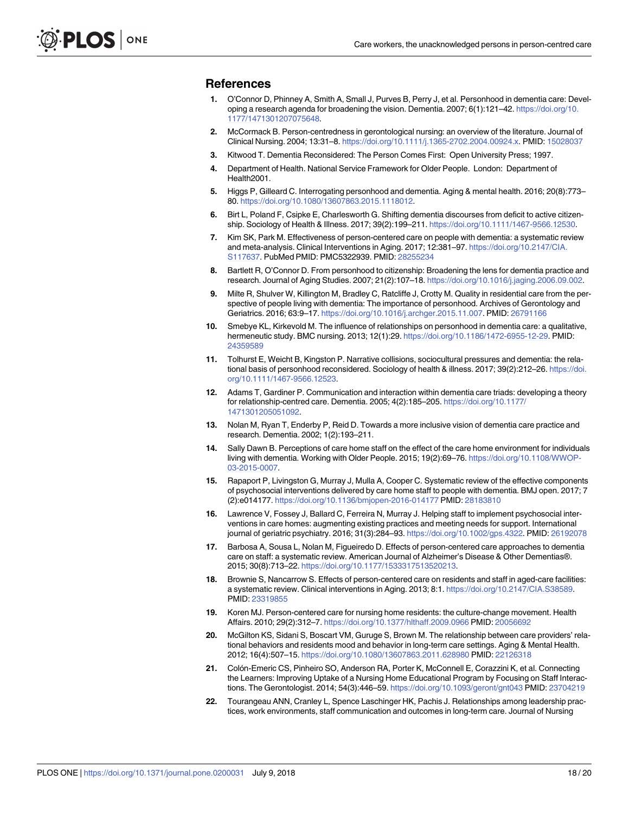### <span id="page-17-0"></span>**References**

- **[1](#page-0-0).** O'Connor D, Phinney A, Smith A, Small J, Purves B, Perry J, et al. Personhood in dementia care: Developing a research agenda for broadening the vision. Dementia. 2007; 6(1):121–42. [https://doi.org/10.](https://doi.org/10.1177/1471301207075648) [1177/1471301207075648.](https://doi.org/10.1177/1471301207075648)
- **[2](#page-0-0).** McCormack B. Person-centredness in gerontological nursing: an overview of the literature. Journal of Clinical Nursing. 2004; 13:31–8. [https://doi.org/10.1111/j.1365-2702.2004.00924.x.](https://doi.org/10.1111/j.1365-2702.2004.00924.x) PMID: [15028037](http://www.ncbi.nlm.nih.gov/pubmed/15028037)
- **[3](#page-1-0).** Kitwood T. Dementia Reconsidered: The Person Comes First: Open University Press; 1997.
- **[4](#page-1-0).** Department of Health. National Service Framework for Older People. London: Department of Health2001.
- **[5](#page-1-0).** Higgs P, Gilleard C. Interrogating personhood and dementia. Aging & mental health. 2016; 20(8):773– 80. [https://doi.org/10.1080/13607863.2015.1118012.](https://doi.org/10.1080/13607863.2015.1118012)
- **[6](#page-1-0).** Birt L, Poland F, Csipke E, Charlesworth G. Shifting dementia discourses from deficit to active citizenship. Sociology of Health & Illness. 2017; 39(2):199–211. <https://doi.org/10.1111/1467-9566.12530>.
- **[7](#page-1-0).** Kim SK, Park M. Effectiveness of person-centered care on people with dementia: a systematic review and meta-analysis. Clinical Interventions in Aging. 2017; 12:381–97. [https://doi.org/10.2147/CIA.](https://doi.org/10.2147/CIA.S117637) [S117637](https://doi.org/10.2147/CIA.S117637). PubMed PMID: PMC5322939. PMID: [28255234](http://www.ncbi.nlm.nih.gov/pubmed/28255234)
- **[8](#page-1-0).** Bartlett R, O'Connor D. From personhood to citizenship: Broadening the lens for dementia practice and research. Journal of Aging Studies. 2007; 21(2):107–18. <https://doi.org/10.1016/j.jaging.2006.09.002>.
- **[9](#page-1-0).** Milte R, Shulver W, Killington M, Bradley C, Ratcliffe J, Crotty M. Quality in residential care from the perspective of people living with dementia: The importance of personhood. Archives of Gerontology and Geriatrics. 2016; 63:9–17. [https://doi.org/10.1016/j.archger.2015.11.007.](https://doi.org/10.1016/j.archger.2015.11.007) PMID: [26791166](http://www.ncbi.nlm.nih.gov/pubmed/26791166)
- **[10](#page-1-0).** Smebye KL, Kirkevold M. The influence of relationships on personhood in dementia care: a qualitative, hermeneutic study. BMC nursing. 2013; 12(1):29. [https://doi.org/10.1186/1472-6955-12-29.](https://doi.org/10.1186/1472-6955-12-29) PMID: [24359589](http://www.ncbi.nlm.nih.gov/pubmed/24359589)
- **[11](#page-1-0).** Tolhurst E, Weicht B, Kingston P. Narrative collisions, sociocultural pressures and dementia: the relational basis of personhood reconsidered. Sociology of health & illness. 2017; 39(2):212–26. [https://doi.](https://doi.org/10.1111/1467-9566.12523) [org/10.1111/1467-9566.12523](https://doi.org/10.1111/1467-9566.12523).
- **[12](#page-1-0).** Adams T, Gardiner P. Communication and interaction within dementia care triads: developing a theory for relationship-centred care. Dementia. 2005; 4(2):185–205. [https://doi.org/10.1177/](https://doi.org/10.1177/1471301205051092) [1471301205051092](https://doi.org/10.1177/1471301205051092).
- **[13](#page-1-0).** Nolan M, Ryan T, Enderby P, Reid D. Towards a more inclusive vision of dementia care practice and research. Dementia. 2002; 1(2):193–211.
- **[14](#page-1-0).** Sally Dawn B. Perceptions of care home staff on the effect of the care home environment for individuals living with dementia. Working with Older People. 2015; 19(2):69–76. [https://doi.org/10.1108/WWOP-](https://doi.org/10.1108/WWOP-03-2015-0007)[03-2015-0007](https://doi.org/10.1108/WWOP-03-2015-0007).
- **15.** Rapaport P, Livingston G, Murray J, Mulla A, Cooper C. Systematic review of the effective components of psychosocial interventions delivered by care home staff to people with dementia. BMJ open. 2017; 7 (2):e014177. <https://doi.org/10.1136/bmjopen-2016-014177> PMID: [28183810](http://www.ncbi.nlm.nih.gov/pubmed/28183810)
- **[16](#page-1-0).** Lawrence V, Fossey J, Ballard C, Ferreira N, Murray J. Helping staff to implement psychosocial interventions in care homes: augmenting existing practices and meeting needs for support. International journal of geriatric psychiatry. 2016; 31(3):284–93. [https://doi.org/10.1002/gps.4322.](https://doi.org/10.1002/gps.4322) PMID: [26192078](http://www.ncbi.nlm.nih.gov/pubmed/26192078)
- **[17](#page-1-0).** Barbosa A, Sousa L, Nolan M, Figueiredo D. Effects of person-centered care approaches to dementia care on staff: a systematic review. American Journal of Alzheimer's Disease & Other Dementias®. 2015; 30(8):713–22. [https://doi.org/10.1177/1533317513520213.](https://doi.org/10.1177/1533317513520213)
- **[18](#page-1-0).** Brownie S, Nancarrow S. Effects of person-centered care on residents and staff in aged-care facilities: a systematic review. Clinical interventions in Aging. 2013; 8:1. [https://doi.org/10.2147/CIA.S38589.](https://doi.org/10.2147/CIA.S38589) PMID: [23319855](http://www.ncbi.nlm.nih.gov/pubmed/23319855)
- **[19](#page-1-0).** Koren MJ. Person-centered care for nursing home residents: the culture-change movement. Health Affairs. 2010; 29(2):312–7. <https://doi.org/10.1377/hlthaff.2009.0966> PMID: [20056692](http://www.ncbi.nlm.nih.gov/pubmed/20056692)
- **[20](#page-1-0).** McGilton KS, Sidani S, Boscart VM, Guruge S, Brown M. The relationship between care providers' relational behaviors and residents mood and behavior in long-term care settings. Aging & Mental Health. 2012; 16(4):507–15. <https://doi.org/10.1080/13607863.2011.628980> PMID: [22126318](http://www.ncbi.nlm.nih.gov/pubmed/22126318)
- **[21](#page-1-0).** Colón-Emeric CS, Pinheiro SO, Anderson RA, Porter K, McConnell E, Corazzini K, et al. Connecting the Learners: Improving Uptake of a Nursing Home Educational Program by Focusing on Staff Interactions. The Gerontologist. 2014; 54(3):446–59. <https://doi.org/10.1093/geront/gnt043> PMID: [23704219](http://www.ncbi.nlm.nih.gov/pubmed/23704219)
- **[22](#page-1-0).** Tourangeau ANN, Cranley L, Spence Laschinger HK, Pachis J. Relationships among leadership practices, work environments, staff communication and outcomes in long-term care. Journal of Nursing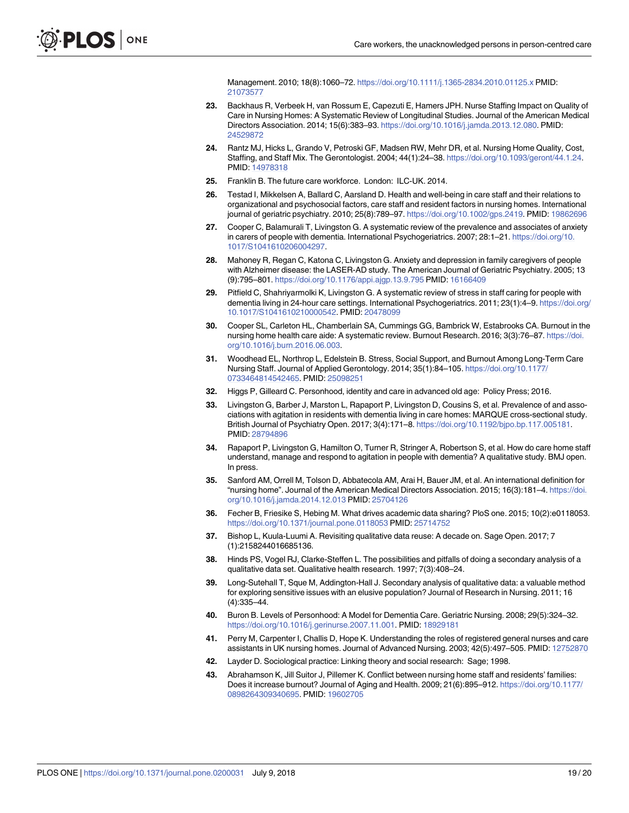Management. 2010; 18(8):1060–72. <https://doi.org/10.1111/j.1365-2834.2010.01125.x> PMID: [21073577](http://www.ncbi.nlm.nih.gov/pubmed/21073577)

- <span id="page-18-0"></span>**[23](#page-1-0).** Backhaus R, Verbeek H, van Rossum E, Capezuti E, Hamers JPH. Nurse Staffing Impact on Quality of Care in Nursing Homes: A Systematic Review of Longitudinal Studies. Journal of the American Medical Directors Association. 2014; 15(6):383–93. [https://doi.org/10.1016/j.jamda.2013.12.080.](https://doi.org/10.1016/j.jamda.2013.12.080) PMID: [24529872](http://www.ncbi.nlm.nih.gov/pubmed/24529872)
- **[24](#page-1-0).** Rantz MJ, Hicks L, Grando V, Petroski GF, Madsen RW, Mehr DR, et al. Nursing Home Quality, Cost, Staffing, and Staff Mix. The Gerontologist. 2004; 44(1):24–38. <https://doi.org/10.1093/geront/44.1.24>. PMID: [14978318](http://www.ncbi.nlm.nih.gov/pubmed/14978318)
- **[25](#page-1-0).** Franklin B. The future care workforce. London: ILC-UK. 2014.
- **[26](#page-1-0).** Testad I, Mikkelsen A, Ballard C, Aarsland D. Health and well-being in care staff and their relations to organizational and psychosocial factors, care staff and resident factors in nursing homes. International journal of geriatric psychiatry. 2010; 25(8):789–97. [https://doi.org/10.1002/gps.2419.](https://doi.org/10.1002/gps.2419) PMID: [19862696](http://www.ncbi.nlm.nih.gov/pubmed/19862696)
- **[27](#page-1-0).** Cooper C, Balamurali T, Livingston G. A systematic review of the prevalence and associates of anxiety in carers of people with dementia. International Psychogeriatrics. 2007; 28:1–21. [https://doi.org/10.](https://doi.org/10.1017/S1041610206004297) [1017/S1041610206004297](https://doi.org/10.1017/S1041610206004297).
- **[28](#page-1-0).** Mahoney R, Regan C, Katona C, Livingston G. Anxiety and depression in family caregivers of people with Alzheimer disease: the LASER-AD study. The American Journal of Geriatric Psychiatry. 2005; 13 (9):795–801. <https://doi.org/10.1176/appi.ajgp.13.9.795> PMID: [16166409](http://www.ncbi.nlm.nih.gov/pubmed/16166409)
- **[29](#page-2-0).** Pitfield C, Shahriyarmolki K, Livingston G. A systematic review of stress in staff caring for people with dementia living in 24-hour care settings. International Psychogeriatrics. 2011; 23(1):4–9. [https://doi.org/](https://doi.org/10.1017/S1041610210000542) [10.1017/S1041610210000542](https://doi.org/10.1017/S1041610210000542). PMID: [20478099](http://www.ncbi.nlm.nih.gov/pubmed/20478099)
- **[30](#page-2-0).** Cooper SL, Carleton HL, Chamberlain SA, Cummings GG, Bambrick W, Estabrooks CA. Burnout in the nursing home health care aide: A systematic review. Burnout Research. 2016; 3(3):76–87. [https://doi.](https://doi.org/10.1016/j.burn.2016.06.003) [org/10.1016/j.burn.2016.06.003](https://doi.org/10.1016/j.burn.2016.06.003).
- **[31](#page-2-0).** Woodhead EL, Northrop L, Edelstein B. Stress, Social Support, and Burnout Among Long-Term Care Nursing Staff. Journal of Applied Gerontology. 2014; 35(1):84–105. [https://doi.org/10.1177/](https://doi.org/10.1177/0733464814542465) [0733464814542465](https://doi.org/10.1177/0733464814542465). PMID: [25098251](http://www.ncbi.nlm.nih.gov/pubmed/25098251)
- **[32](#page-2-0).** Higgs P, Gilleard C. Personhood, identity and care in advanced old age: Policy Press; 2016.
- **[33](#page-2-0).** Livingston G, Barber J, Marston L, Rapaport P, Livingston D, Cousins S, et al. Prevalence of and associations with agitation in residents with dementia living in care homes: MARQUE cross-sectional study. British Journal of Psychiatry Open. 2017; 3(4):171–8. <https://doi.org/10.1192/bjpo.bp.117.005181>. PMID: [28794896](http://www.ncbi.nlm.nih.gov/pubmed/28794896)
- **[34](#page-2-0).** Rapaport P, Livingston G, Hamilton O, Turner R, Stringer A, Robertson S, et al. How do care home staff understand, manage and respond to agitation in people with dementia? A qualitative study. BMJ open. In press.
- **[35](#page-3-0).** Sanford AM, Orrell M, Tolson D, Abbatecola AM, Arai H, Bauer JM, et al. An international definition for "nursing home". Journal of the American Medical Directors Association. 2015; 16(3):181–4. [https://doi.](https://doi.org/10.1016/j.jamda.2014.12.013) [org/10.1016/j.jamda.2014.12.013](https://doi.org/10.1016/j.jamda.2014.12.013) PMID: [25704126](http://www.ncbi.nlm.nih.gov/pubmed/25704126)
- **[36](#page-3-0).** Fecher B, Friesike S, Hebing M. What drives academic data sharing? PloS one. 2015; 10(2):e0118053. <https://doi.org/10.1371/journal.pone.0118053> PMID: [25714752](http://www.ncbi.nlm.nih.gov/pubmed/25714752)
- **[37](#page-4-0).** Bishop L, Kuula-Luumi A. Revisiting qualitative data reuse: A decade on. Sage Open. 2017; 7 (1):2158244016685136.
- **[38](#page-4-0).** Hinds PS, Vogel RJ, Clarke-Steffen L. The possibilities and pitfalls of doing a secondary analysis of a qualitative data set. Qualitative health research. 1997; 7(3):408–24.
- **[39](#page-4-0).** Long-Sutehall T, Sque M, Addington-Hall J. Secondary analysis of qualitative data: a valuable method for exploring sensitive issues with an elusive population? Journal of Research in Nursing. 2011; 16 (4):335–44.
- **[40](#page-4-0).** Buron B. Levels of Personhood: A Model for Dementia Care. Geriatric Nursing. 2008; 29(5):324–32. <https://doi.org/10.1016/j.gerinurse.2007.11.001>. PMID: [18929181](http://www.ncbi.nlm.nih.gov/pubmed/18929181)
- **[41](#page-4-0).** Perry M, Carpenter I, Challis D, Hope K. Understanding the roles of registered general nurses and care assistants in UK nursing homes. Journal of Advanced Nursing. 2003; 42(5):497–505. PMID: [12752870](http://www.ncbi.nlm.nih.gov/pubmed/12752870)
- **[42](#page-4-0).** Layder D. Sociological practice: Linking theory and social research: Sage; 1998.
- **[43](#page-14-0).** Abrahamson K, Jill Suitor J, Pillemer K. Conflict between nursing home staff and residents' families: Does it increase burnout? Journal of Aging and Health. 2009; 21(6):895–912. [https://doi.org/10.1177/](https://doi.org/10.1177/0898264309340695) [0898264309340695](https://doi.org/10.1177/0898264309340695). PMID: [19602705](http://www.ncbi.nlm.nih.gov/pubmed/19602705)